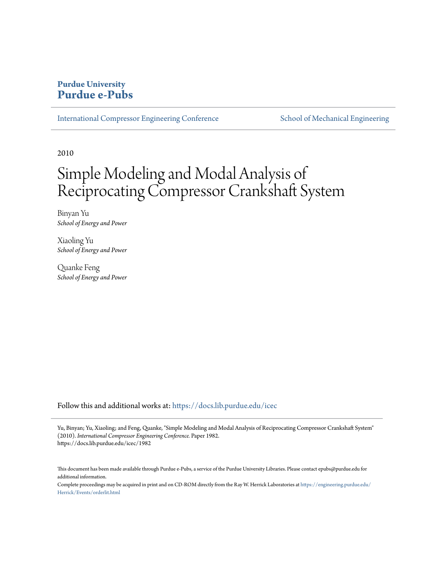# **Purdue University [Purdue e-Pubs](https://docs.lib.purdue.edu?utm_source=docs.lib.purdue.edu%2Ficec%2F1982&utm_medium=PDF&utm_campaign=PDFCoverPages)**

[International Compressor Engineering Conference](https://docs.lib.purdue.edu/icec?utm_source=docs.lib.purdue.edu%2Ficec%2F1982&utm_medium=PDF&utm_campaign=PDFCoverPages) [School of Mechanical Engineering](https://docs.lib.purdue.edu/me?utm_source=docs.lib.purdue.edu%2Ficec%2F1982&utm_medium=PDF&utm_campaign=PDFCoverPages)

2010

# Simple Modeling and Modal Analysis of Reciprocating Compressor Crankshaft System

Binyan Yu *School of Energy and Power*

Xiaoling Yu *School of Energy and Power*

Quanke Feng *School of Energy and Power*

Follow this and additional works at: [https://docs.lib.purdue.edu/icec](https://docs.lib.purdue.edu/icec?utm_source=docs.lib.purdue.edu%2Ficec%2F1982&utm_medium=PDF&utm_campaign=PDFCoverPages)

Yu, Binyan; Yu, Xiaoling; and Feng, Quanke, "Simple Modeling and Modal Analysis of Reciprocating Compressor Crankshaft System" (2010). *International Compressor Engineering Conference.* Paper 1982. https://docs.lib.purdue.edu/icec/1982

This document has been made available through Purdue e-Pubs, a service of the Purdue University Libraries. Please contact epubs@purdue.edu for additional information.

Complete proceedings may be acquired in print and on CD-ROM directly from the Ray W. Herrick Laboratories at [https://engineering.purdue.edu/](https://engineering.purdue.edu/Herrick/Events/orderlit.html) [Herrick/Events/orderlit.html](https://engineering.purdue.edu/Herrick/Events/orderlit.html)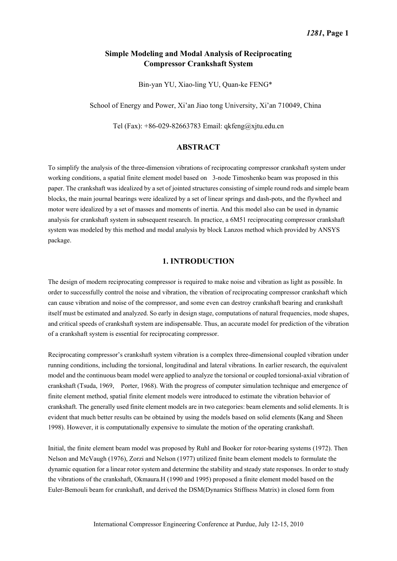# **Simple Modeling and Modal Analysis of Reciprocating Compressor Crankshaft System**

Bin-yan YU, Xiao-ling YU, Quan-ke FENG\*

School of Energy and Power, Xi'an Jiao tong University, Xi'an 710049, China

Tel (Fax): +86-029-82663783 Email: qkfeng@xjtu.edu.cn

## **ABSTRACT**

To simplify the analysis of the three-dimension vibrations of reciprocating compressor crankshaft system under working conditions, a spatial finite element model based on 3-node Timoshenko beam was proposed in this paper. The crankshaft was idealized by a set of jointed structures consisting of simple round rods and simple beam blocks, the main journal bearings were idealized by a set of linear springs and dash-pots, and the flywheel and motor were idealized by a set of masses and moments of inertia. And this model also can be used in dynamic analysis for crankshaft system in subsequent research. In practice, a 6M51 reciprocating compressor crankshaft system was modeled by this method and modal analysis by block Lanzos method which provided by ANSYS package.

# **1. INTRODUCTION**

The design of modern reciprocating compressor is required to make noise and vibration as light as possible. In order to successfully control the noise and vibration, the vibration of reciprocating compressor crankshaft which can cause vibration and noise of the compressor, and some even can destroy crankshaft bearing and crankshaft itself must be estimated and analyzed. So early in design stage, computations of natural frequencies, mode shapes, and critical speeds of crankshaft system are indispensable. Thus, an accurate model for prediction of the vibration of a crankshaft system is essential for reciprocating compressor.

Reciprocating compressor's crankshaft system vibration is a complex three-dimensional coupled vibration under running conditions, including the torsional, longitudinal and lateral vibrations. In earlier research, the equivalent model and the continuous beam model were applied to analyze the torsional or coupled torsional-axial vibration of crankshaft (Tsuda, 1969, Porter, 1968). With the progress of computer simulation technique and emergence of finite element method, spatial finite element models were introduced to estimate the vibration behavior of crankshaft. The generally used finite element models are in two categories: beam elements and solid elements. It is evident that much better results can be obtained by using the models based on solid elements (Kang and Sheen 1998). However, it is computationally expensive to simulate the motion of the operating crankshaft.

Initial, the finite element beam model was proposed by Ruhl and Booker for rotor-bearing systems (1972). Then Nelson and McVaugh (1976), Zorzi and Nelson (1977) utilized finite beam element models to formulate the dynamic equation for a linear rotor system and determine the stability and steady state responses. In order to study the vibrations of the crankshaft, Okmaura.H (1990 and 1995) proposed a finite element model based on the Euler-Bemouli beam for crankshaft, and derived the DSM(Dynamics Stiffness Matrix) in closed form from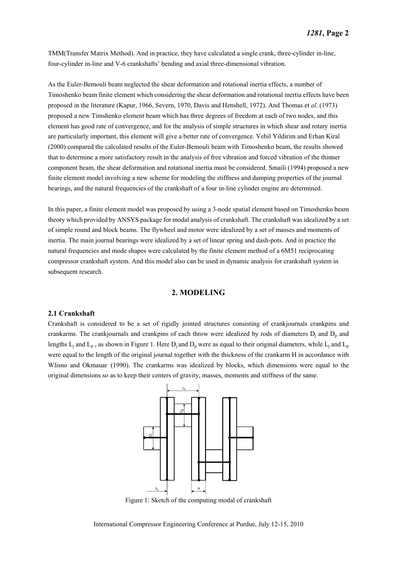TMM(Transfer Matrix Method). And in practice, they have calculated a single crank, three-cylinder in-line, four-cylinder in-line and V-6 crankshafts' bending and axial three-dimensional vibration.

As the Euler-Bemouli beam neglected the shear deformation and rotational inertia effects, a number of Timoshenko beam finite element which considering the shear deformation and rotational inertia effects have been proposed in the literature (Kapur, 1966, Severn, 1970, Davis and Henshell, 1972). And Thomas et *al*. (1973) proposed a new Timshenko element beam which has three degrees of freedom at each of two nodes, and this element has good rate of convergence, and for the analysis of simple structures in which shear and rotary inertia are particularly important, this element will give a better rate of convergence. Vebil Yildirim and Erhan Kiral (2000) compared the calculated results of the Euler-Bemouli beam with Timoshenko beam, the results showed that to determine a more satisfactory result in the analysis of free vibration and forced vibration of the thinner component beam, the shear deformation and rotational inertia must be considered. Smaili (1994) proposed a new finite element model involving a new scheme for modeling the stiffness and damping properties of the journal bearings, and the natural frequencies of the crankshaft of a four in-line cylinder engine are determined.

In this paper, a finite element model was proposed by using a 3-node spatial element based on Timoshenko beam theory which provided by ANSYS package for modal analysis of crankshaft. The crankshaft was idealized by a set of simple round and block beams. The flywheel and motor were idealized by a set of masses and moments of inertia. The main journal bearings were idealized by a set of linear spring and dash-pots. And in practice the natural frequencies and mode shapes were calculated by the finite element method of a 6M51 reciprocating compressor crankshaft system. And this model also can be used in dynamic analysis for crankshaft system in subsequent research.

# **2. MODELING**

#### **2.1 Crankshaft**

Crankshaft is considered to be a set of rigidly jointed structures consisting of crankjournals crankpins and crankarms. The crankjournals and crankpins of each throw were idealized by rods of diameters  $D_j$  and  $D_p$  and lengths  $L_j$  and  $L_p$ , as shown in Figure 1. Here  $D_j$  and  $D_p$  were as equal to their original diameters, while  $L_j$  and  $L_p$ were equal to the length of the original journal together with the thickness of the crankarm H in accordance with Wlisno and Okmauar (1990). The crankarms was idealized by blocks, which dimensions were equal to the original dimensions so as to keep their centers of gravity, masses, moments and stiffness of the same.



Figure 1: Sketch of the computing modal of crankshaft

International Compressor Engineering Conference at Purdue, July 12-15, 2010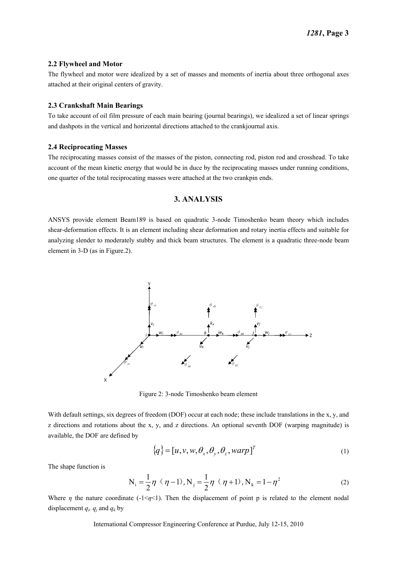#### **2.2 Flywheel and Motor**

The flywheel and motor were idealized by a set of masses and moments of inertia about three orthogonal axes attached at their original centers of gravity.

#### **2.3 Crankshaft Main Bearings**

To take account of oil film pressure of each main bearing (journal bearings), we idealized a set of linear springs and dashpots in the vertical and horizontal directions attached to the crankjournal axis.

#### **2.4 Reciprocating Masses**

The reciprocating masses consist of the masses of the piston, connecting rod, piston rod and crosshead. To take account of the mean kinetic energy that would be in duce by the reciprocating masses under running conditions, one quarter of the total reciprocating masses were attached at the two crankpin ends.

## **3. ANALYSIS**

ANSYS provide element Beam189 is based on quadratic 3-node Timoshenko beam theory which includes shear-deformation effects. It is an element including shear deformation and rotary inertia effects and suitable for analyzing slender to moderately stubby and thick beam structures. The element is a quadratic three-node beam element in 3-D (as in Figure.2).



Figure 2: 3-node Timoshenko beam element

With default settings, six degrees of freedom (DOF) occur at each node; these include translations in the x, y, and z directions and rotations about the x, y, and z directions. An optional seventh DOF (warping magnitude) is available, the DOF are defined by

$$
\{q\} = [u, v, w, \theta_x, \theta_y, \theta_z, warp]^T
$$
\n(1)

The shape function is

$$
N_{i} = \frac{1}{2}\eta \, (\eta - 1), N_{j} = \frac{1}{2}\eta \, (\eta + 1), N_{k} = 1 - \eta^{2}
$$
 (2)

Where  $\eta$  the nature coordinate (-1< $\eta$ <1). Then the displacement of point p is related to the element nodal displacement  $q_i$ ,  $q_j$  and  $q_k$  by

International Compressor Engineering Conference at Purdue, July 12-15, 2010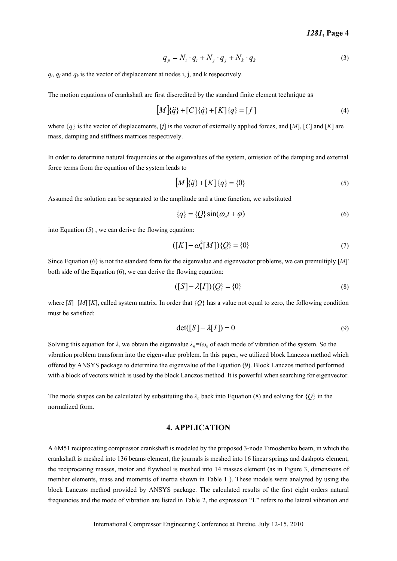$$
q_p = N_i \cdot q_i + N_j \cdot q_j + N_k \cdot q_k \tag{3}
$$

 $q_i$ ,  $q_j$  and  $q_k$  is the vector of displacement at nodes i, j, and k respectively.

The motion equations of crankshaft are first discredited by the standard finite element technique as

$$
[M]\{\ddot{q}\} + [C]\{\dot{q}\} + [K]\{q\} = [f]
$$
\n(4)

where {*q*} is the vector of displacements, [*f*] is the vector of externally applied forces, and [*M*], [*C*] and [*K*] are mass, damping and stiffness matrices respectively.

In order to determine natural frequencies or the eigenvalues of the system, omission of the damping and external force terms from the equation of the system leads to

$$
[M]\{\ddot{q}\} + [K]\{q\} = \{0\}
$$
\n(5)

Assumed the solution can be separated to the amplitude and a time function, we substituted

$$
\{q\} = \{Q\}\sin(\omega_n t + \varphi) \tag{6}
$$

into Equation (5) , we can derive the flowing equation:

$$
([K] - \omega_n^2[M])\{Q\} = \{0\}
$$
\n(7)

Since Equation (6) is not the standard form for the eigenvalue and eigenvector problems, we can premultiply [*M*]' both side of the Equation (6), we can derive the flowing equation:

$$
([S] - \lambda[I])\{Q\} = \{0\}
$$
\n(8)

where  $[S]=[M'][K]$ , called system matrix. In order that  ${O}$  has a value not equal to zero, the following condition must be satisfied:

$$
\det([S] - \lambda[I]) = 0 \tag{9}
$$

Solving this equation for  $\lambda$ , we obtain the eigenvalue  $\lambda_n = i\omega_n$  of each mode of vibration of the system. So the vibration problem transform into the eigenvalue problem. In this paper, we utilized block Lanczos method which offered by ANSYS package to determine the eigenvalue of the Equation (9). Block Lanczos method performed with a block of vectors which is used by the block Lanczos method. It is powerful when searching for eigenvector.

The mode shapes can be calculated by substituting the  $\lambda_n$  back into Equation (8) and solving for  $\{Q\}$  in the normalized form.

# **4. APPLICATION**

A 6M51 reciprocating compressor crankshaft is modeled by the proposed 3-node Timoshenko beam, in which the crankshaft is meshed into 136 beams element, the journals is meshed into 16 linear springs and dashpots element, the reciprocating masses, motor and flywheel is meshed into 14 masses element (as in Figure 3, dimensions of member elements, mass and moments of inertia shown in Table 1 ). These models were analyzed by using the block Lanczos method provided by ANSYS package. The calculated results of the first eight orders natural frequencies and the mode of vibration are listed in Table 2, the expression "L" refers to the lateral vibration and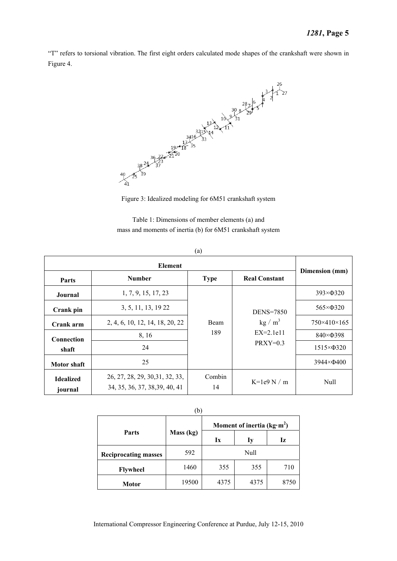"T" refers to torsional vibration. The first eight orders calculated mode shapes of the crankshaft were shown in Figure 4.





Table 1: Dimensions of member elements (a) and mass and moments of inertia (b) for 6M51 crankshaft system

| Parts                       | <b>Number</b>                                                     | <b>Type</b>  | <b>Real Constant</b>      | Dimension (mm)          |
|-----------------------------|-------------------------------------------------------------------|--------------|---------------------------|-------------------------|
| Journal                     | 1, 7, 9, 15, 17, 23                                               | Beam<br>189  |                           | $393\times$ $\Phi$ 320  |
| Crank pin                   | 3, 5, 11, 13, 19 22                                               |              | <b>DENS=7850</b>          | $565 \times \Phi$ 320   |
| Crank arm                   | 2, 4, 6, 10, 12, 14, 18, 20, 22                                   |              | kg/m <sup>3</sup>         | $750\times410\times165$ |
| Connection                  | 8, 16                                                             |              | $EX=2.1e11$<br>$PRXY=0.3$ | 840×Ф398                |
| shaft                       | 24                                                                |              |                           | $1515 \times \Phi$ 320  |
| <b>Motor</b> shaft          | 25                                                                |              |                           | $3944 \times \Phi 400$  |
| <b>Idealized</b><br>journal | 26, 27, 28, 29, 30, 31, 32, 33,<br>34, 35, 36, 37, 38, 39, 40, 41 | Combin<br>14 | K=1e9 N $\prime$ m        | Null                    |

|--|

| (b)                         |           |                               |      |      |  |  |  |
|-----------------------------|-----------|-------------------------------|------|------|--|--|--|
|                             | Mass (kg) | Moment of inertia ( $kg·m2$ ) |      |      |  |  |  |
| <b>Parts</b>                |           | Ix                            | Iy   | Iz   |  |  |  |
| <b>Reciprocating masses</b> | 592       | Null                          |      |      |  |  |  |
| <b>Flywheel</b>             | 1460      | 355                           | 355  | 710  |  |  |  |
| Motor                       | 19500     | 4375                          | 4375 | 8750 |  |  |  |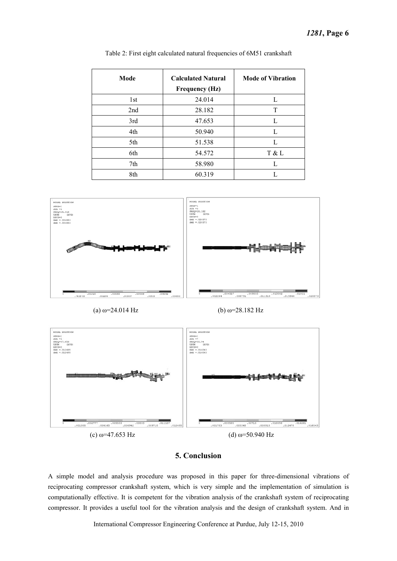| Mode | <b>Calculated Natural</b><br><b>Frequency (Hz)</b> | <b>Mode of Vibration</b> |
|------|----------------------------------------------------|--------------------------|
| 1st  | 24.014                                             | L                        |
| 2nd  | 28.182                                             | T                        |
| 3rd  | 47.653                                             | L                        |
| 4th  | 50.940                                             | L                        |
| 5th  | 51.538                                             | L                        |
| 6th  | 54.572                                             | T & L                    |
| 7th  | 58.980                                             | L                        |
| 8th  | 60.319                                             |                          |

Table 2: First eight calculated natural frequencies of 6M51 crankshaft





## **5. Conclusion**

A simple model and analysis procedure was proposed in this paper for three-dimensional vibrations of reciprocating compressor crankshaft system, which is very simple and the implementation of simulation is computationally effective. It is competent for the vibration analysis of the crankshaft system of reciprocating compressor. It provides a useful tool for the vibration analysis and the design of crankshaft system. And in

International Compressor Engineering Conference at Purdue, July 12-15, 2010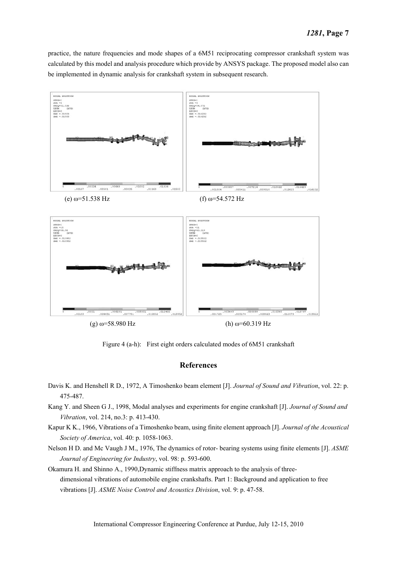practice, the nature frequencies and mode shapes of a 6M51 reciprocating compressor crankshaft system was calculated by this model and analysis procedure which provide by ANSYS package. The proposed model also can be implemented in dynamic analysis for crankshaft system in subsequent research.



(g)  $\omega$ =58.980 Hz (h)  $\omega$ =60.319 Hz

Figure 4 (a-h): First eight orders calculated modes of 6M51 crankshaft

#### **References**

- Davis K. and Henshell R D., 1972, A Timoshenko beam element [J]. *Journal of Sound and Vibration*, vol. 22: p. 475-487.
- Kang Y. and Sheen G J., 1998, Modal analyses and experiments for engine crankshaft [J]. *Journal of Sound and Vibration*, vol. 214, no.3: p. 413-430.
- Kapur K K., 1966, Vibrations of a Timoshenko beam, using finite element approach [J]. *Journal of the Acoustical Society of America*, vol. 40: p. 1058-1063.
- Nelson H D. and Mc Vaugh J M., 1976, The dynamics of rotor- bearing systems using finite elements [J]. *ASME Journal of Engineering for Industry*, vol. 98: p. 593-600.
- Okamura H. and Shinno A., 1990,Dynamic stiffness matrix approach to the analysis of threedimensional vibrations of automobile engine crankshafts. Part 1: Background and application to free vibrations [J]. *ASME Noise Control and Acoustics Division*, vol. 9: p. 47-58.